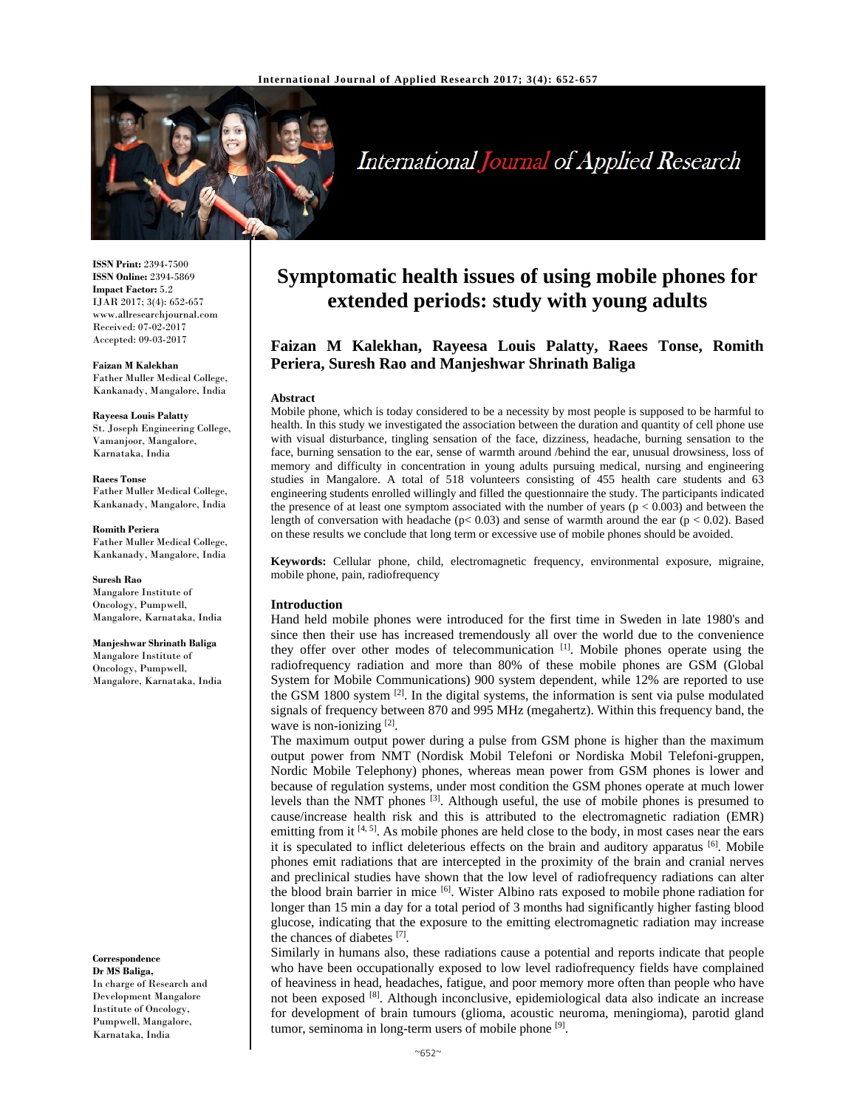

# International Journal of Applied Research

**ISSN Print:** 2394-7500 **ISSN Online:** 2394-5869 **Impact Factor:** 5.2 IJAR 2017; 3(4): 652-657 www.allresearchjournal.com Received: 07-02-2017 Accepted: 09-03-2017

**Faizan M Kalekhan**  Father Muller Medical College, Kankanady, Mangalore, India

**Rayeesa Louis Palatty**  St. Joseph Engineering College, Vamanjoor, Mangalore, Karnataka, India

**Raees Tonse**  Father Muller Medical College, Kankanady, Mangalore, India

**Romith Periera**  Father Muller Medical College, Kankanady, Mangalore, India

**Suresh Rao**  Mangalore Institute of Oncology, Pumpwell, Mangalore, Karnataka, India

**Manjeshwar Shrinath Baliga**  Mangalore Institute of Oncology, Pumpwell, Mangalore, Karnataka, India

**Correspondence Dr MS Baliga,** 

In charge of Research and Development Mangalore Institute of Oncology, Pumpwell, Mangalore, Karnataka, India

## **Symptomatic health issues of using mobile phones for extended periods: study with young adults**

### **Faizan M Kalekhan, Rayeesa Louis Palatty, Raees Tonse, Romith Periera, Suresh Rao and Manjeshwar Shrinath Baliga**

#### **Abstract**

Mobile phone, which is today considered to be a necessity by most people is supposed to be harmful to health. In this study we investigated the association between the duration and quantity of cell phone use with visual disturbance, tingling sensation of the face, dizziness, headache, burning sensation to the face, burning sensation to the ear, sense of warmth around /behind the ear, unusual drowsiness, loss of memory and difficulty in concentration in young adults pursuing medical, nursing and engineering studies in Mangalore. A total of 518 volunteers consisting of 455 health care students and 63 engineering students enrolled willingly and filled the questionnaire the study. The participants indicated the presence of at least one symptom associated with the number of years ( $p < 0.003$ ) and between the length of conversation with headache ( $p < 0.03$ ) and sense of warmth around the ear ( $p < 0.02$ ). Based on these results we conclude that long term or excessive use of mobile phones should be avoided.

**Keywords:** Cellular phone, child, electromagnetic frequency, environmental exposure, migraine, mobile phone, pain, radiofrequency

#### **Introduction**

Hand held mobile phones were introduced for the first time in Sweden in late 1980's and since then their use has increased tremendously all over the world due to the convenience they offer over other modes of telecommunication [1]. Mobile phones operate using the radiofrequency radiation and more than 80% of these mobile phones are GSM (Global System for Mobile Communications) 900 system dependent, while 12% are reported to use the GSM 1800 system  $^{[2]}$ . In the digital systems, the information is sent via pulse modulated signals of frequency between 870 and 995 MHz (megahertz). Within this frequency band, the wave is non-ionizing [2].

The maximum output power during a pulse from GSM phone is higher than the maximum output power from NMT (Nordisk Mobil Telefoni or Nordiska Mobil Telefoni-gruppen, Nordic Mobile Telephony) phones, whereas mean power from GSM phones is lower and because of regulation systems, under most condition the GSM phones operate at much lower levels than the NMT phones [3]. Although useful, the use of mobile phones is presumed to cause/increase health risk and this is attributed to the electromagnetic radiation (EMR) emitting from it  $[4, 5]$ . As mobile phones are held close to the body, in most cases near the ears it is speculated to inflict deleterious effects on the brain and auditory apparatus [6]. Mobile phones emit radiations that are intercepted in the proximity of the brain and cranial nerves and preclinical studies have shown that the low level of radiofrequency radiations can alter the blood brain barrier in mice [6]. Wister Albino rats exposed to mobile phone radiation for longer than 15 min a day for a total period of 3 months had significantly higher fasting blood glucose, indicating that the exposure to the emitting electromagnetic radiation may increase the chances of diabetes [7].

Similarly in humans also, these radiations cause a potential and reports indicate that people who have been occupationally exposed to low level radiofrequency fields have complained of heaviness in head, headaches, fatigue, and poor memory more often than people who have not been exposed <sup>[8]</sup>. Although inconclusive, epidemiological data also indicate an increase for development of brain tumours (glioma, acoustic neuroma, meningioma), parotid gland tumor, seminoma in long-term users of mobile phone [9].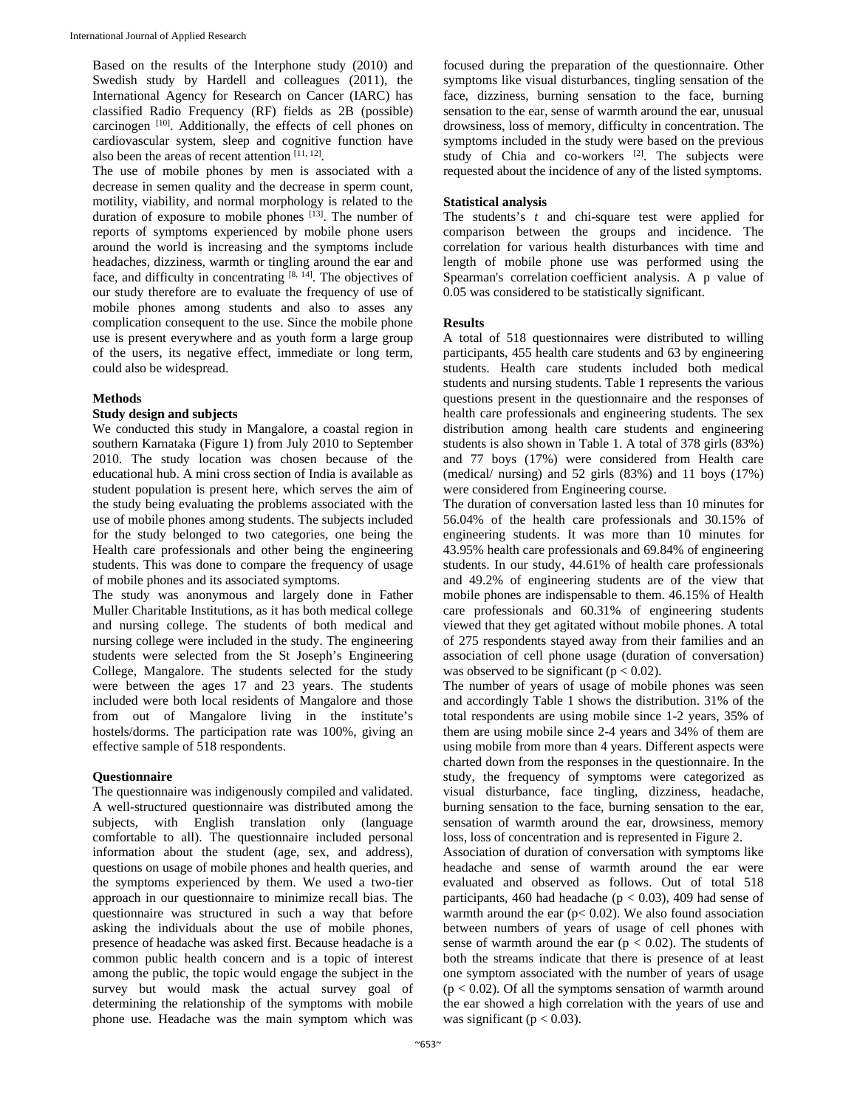Based on the results of the Interphone study (2010) and Swedish study by Hardell and colleagues (2011), the International Agency for Research on Cancer (IARC) has classified Radio Frequency (RF) fields as 2B (possible) carcinogen [10]. Additionally, the effects of cell phones on cardiovascular system, sleep and cognitive function have also been the areas of recent attention  $[11, 12]$ .

The use of mobile phones by men is associated with a decrease in semen quality and the decrease in sperm count, motility, viability, and normal morphology is related to the duration of exposure to mobile phones  $[13]$ . The number of reports of symptoms experienced by mobile phone users around the world is increasing and the symptoms include headaches, dizziness, warmth or tingling around the ear and face, and difficulty in concentrating  $[8, 14]$ . The objectives of our study therefore are to evaluate the frequency of use of mobile phones among students and also to asses any complication consequent to the use. Since the mobile phone use is present everywhere and as youth form a large group of the users, its negative effect, immediate or long term, could also be widespread.

#### **Methods**

#### **Study design and subjects**

We conducted this study in Mangalore, a coastal region in southern Karnataka (Figure 1) from July 2010 to September 2010. The study location was chosen because of the educational hub. A mini cross section of India is available as student population is present here, which serves the aim of the study being evaluating the problems associated with the use of mobile phones among students. The subjects included for the study belonged to two categories, one being the Health care professionals and other being the engineering students. This was done to compare the frequency of usage of mobile phones and its associated symptoms.

The study was anonymous and largely done in Father Muller Charitable Institutions, as it has both medical college and nursing college. The students of both medical and nursing college were included in the study. The engineering students were selected from the St Joseph's Engineering College, Mangalore. The students selected for the study were between the ages 17 and 23 years. The students included were both local residents of Mangalore and those from out of Mangalore living in the institute's hostels/dorms. The participation rate was 100%, giving an effective sample of 518 respondents.

#### **Questionnaire**

The questionnaire was indigenously compiled and validated. A well-structured questionnaire was distributed among the subjects, with English translation only (language comfortable to all). The questionnaire included personal information about the student (age, sex, and address), questions on usage of mobile phones and health queries, and the symptoms experienced by them. We used a two-tier approach in our questionnaire to minimize recall bias. The questionnaire was structured in such a way that before asking the individuals about the use of mobile phones, presence of headache was asked first. Because headache is a common public health concern and is a topic of interest among the public, the topic would engage the subject in the survey but would mask the actual survey goal of determining the relationship of the symptoms with mobile phone use. Headache was the main symptom which was

focused during the preparation of the questionnaire. Other symptoms like visual disturbances, tingling sensation of the face, dizziness, burning sensation to the face, burning sensation to the ear, sense of warmth around the ear, unusual drowsiness, loss of memory, difficulty in concentration. The symptoms included in the study were based on the previous study of Chia and co-workers [2]. The subjects were requested about the incidence of any of the listed symptoms.

#### **Statistical analysis**

The students's *t* and chi-square test were applied for comparison between the groups and incidence. The correlation for various health disturbances with time and length of mobile phone use was performed using the Spearman's correlation coefficient analysis. A p value of 0.05 was considered to be statistically significant.

#### **Results**

A total of 518 questionnaires were distributed to willing participants, 455 health care students and 63 by engineering students. Health care students included both medical students and nursing students. Table 1 represents the various questions present in the questionnaire and the responses of health care professionals and engineering students. The sex distribution among health care students and engineering students is also shown in Table 1. A total of 378 girls (83%) and 77 boys (17%) were considered from Health care (medical/ nursing) and 52 girls (83%) and 11 boys (17%) were considered from Engineering course.

The duration of conversation lasted less than 10 minutes for 56.04% of the health care professionals and 30.15% of engineering students. It was more than 10 minutes for 43.95% health care professionals and 69.84% of engineering students. In our study, 44.61% of health care professionals and 49.2% of engineering students are of the view that mobile phones are indispensable to them. 46.15% of Health care professionals and 60.31% of engineering students viewed that they get agitated without mobile phones. A total of 275 respondents stayed away from their families and an association of cell phone usage (duration of conversation) was observed to be significant ( $p < 0.02$ ).

The number of years of usage of mobile phones was seen and accordingly Table 1 shows the distribution. 31% of the total respondents are using mobile since 1-2 years, 35% of them are using mobile since 2-4 years and 34% of them are using mobile from more than 4 years. Different aspects were charted down from the responses in the questionnaire. In the study, the frequency of symptoms were categorized as visual disturbance, face tingling, dizziness, headache, burning sensation to the face, burning sensation to the ear, sensation of warmth around the ear, drowsiness, memory loss, loss of concentration and is represented in Figure 2.

Association of duration of conversation with symptoms like headache and sense of warmth around the ear were evaluated and observed as follows. Out of total 518 participants, 460 had headache ( $p < 0.03$ ), 409 had sense of warmth around the ear ( $p$ < 0.02). We also found association between numbers of years of usage of cell phones with sense of warmth around the ear ( $p < 0.02$ ). The students of both the streams indicate that there is presence of at least one symptom associated with the number of years of usage  $(p < 0.02)$ . Of all the symptoms sensation of warmth around the ear showed a high correlation with the years of use and was significant ( $p < 0.03$ ).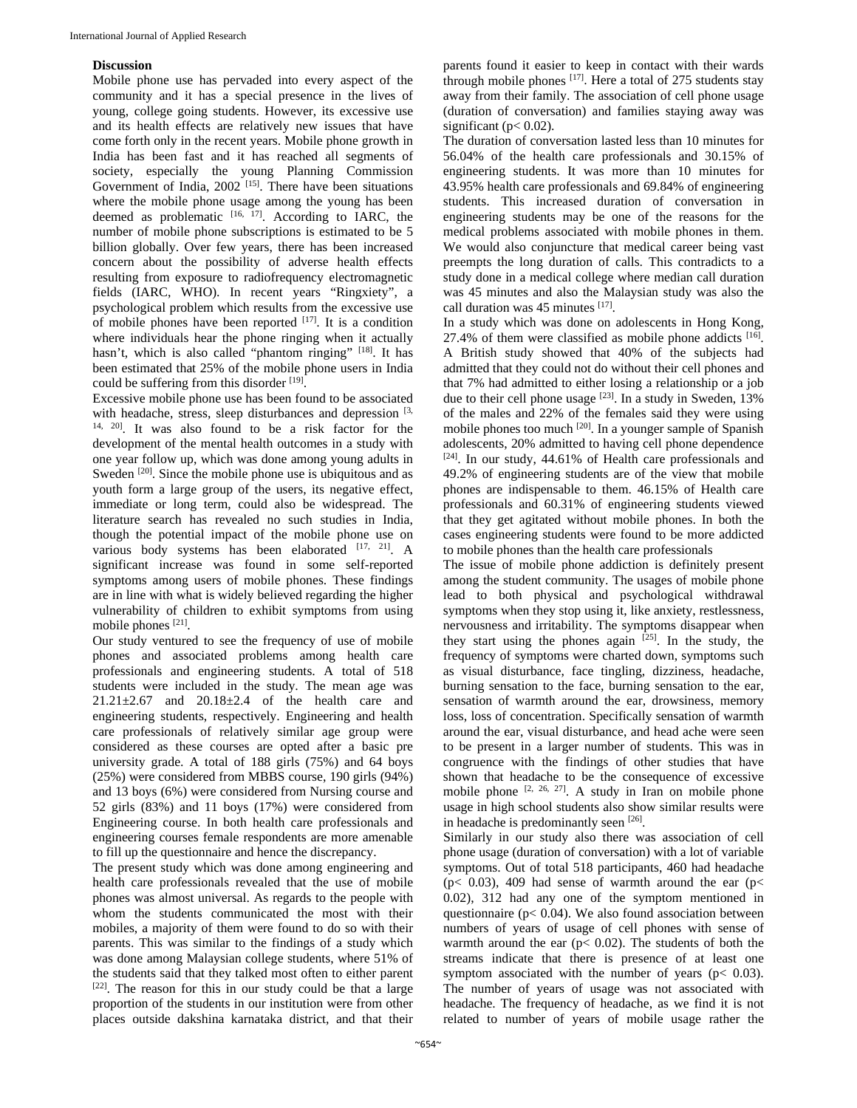#### **Discussion**

Mobile phone use has pervaded into every aspect of the community and it has a special presence in the lives of young, college going students. However, its excessive use and its health effects are relatively new issues that have come forth only in the recent years. Mobile phone growth in India has been fast and it has reached all segments of society, especially the young Planning Commission Government of India,  $2002$ <sup>[15]</sup>. There have been situations where the mobile phone usage among the young has been deemed as problematic  $[16, 17]$ . According to IARC, the number of mobile phone subscriptions is estimated to be 5 billion globally. Over few years, there has been increased concern about the possibility of adverse health effects resulting from exposure to radiofrequency electromagnetic fields (IARC, WHO). In recent years "Ringxiety", a psychological problem which results from the excessive use of mobile phones have been reported [17]. It is a condition where individuals hear the phone ringing when it actually hasn't, which is also called "phantom ringing" [18]. It has been estimated that 25% of the mobile phone users in India could be suffering from this disorder  $[19]$ .

Excessive mobile phone use has been found to be associated with headache, stress, sleep disturbances and depression  $[3,$  $14, 20$ . It was also found to be a risk factor for the development of the mental health outcomes in a study with one year follow up, which was done among young adults in Sweden <sup>[20]</sup>. Since the mobile phone use is ubiquitous and as youth form a large group of the users, its negative effect, immediate or long term, could also be widespread. The literature search has revealed no such studies in India, though the potential impact of the mobile phone use on various body systems has been elaborated [17, 21]. A significant increase was found in some self-reported symptoms among users of mobile phones. These findings are in line with what is widely believed regarding the higher vulnerability of children to exhibit symptoms from using mobile phones [21].

Our study ventured to see the frequency of use of mobile phones and associated problems among health care professionals and engineering students. A total of 518 students were included in the study. The mean age was  $21.21 \pm 2.67$  and  $20.18 \pm 2.4$  of the health care and engineering students, respectively. Engineering and health care professionals of relatively similar age group were considered as these courses are opted after a basic pre university grade. A total of 188 girls (75%) and 64 boys (25%) were considered from MBBS course, 190 girls (94%) and 13 boys (6%) were considered from Nursing course and 52 girls (83%) and 11 boys (17%) were considered from Engineering course. In both health care professionals and engineering courses female respondents are more amenable to fill up the questionnaire and hence the discrepancy.

The present study which was done among engineering and health care professionals revealed that the use of mobile phones was almost universal. As regards to the people with whom the students communicated the most with their mobiles, a majority of them were found to do so with their parents. This was similar to the findings of a study which was done among Malaysian college students, where 51% of the students said that they talked most often to either parent [22]. The reason for this in our study could be that a large proportion of the students in our institution were from other places outside dakshina karnataka district, and that their parents found it easier to keep in contact with their wards through mobile phones  $[17]$ . Here a total of 275 students stay away from their family. The association of cell phone usage (duration of conversation) and families staying away was significant ( $p < 0.02$ ).

The duration of conversation lasted less than 10 minutes for 56.04% of the health care professionals and 30.15% of engineering students. It was more than 10 minutes for 43.95% health care professionals and 69.84% of engineering students. This increased duration of conversation in engineering students may be one of the reasons for the medical problems associated with mobile phones in them. We would also conjuncture that medical career being vast preempts the long duration of calls. This contradicts to a study done in a medical college where median call duration was 45 minutes and also the Malaysian study was also the call duration was  $45$  minutes  $[17]$ .

In a study which was done on adolescents in Hong Kong, 27.4% of them were classified as mobile phone addicts [16]. A British study showed that 40% of the subjects had admitted that they could not do without their cell phones and that 7% had admitted to either losing a relationship or a job due to their cell phone usage [23]. In a study in Sweden, 13% of the males and 22% of the females said they were using mobile phones too much [20]. In a younger sample of Spanish adolescents, 20% admitted to having cell phone dependence [24]. In our study, 44.61% of Health care professionals and 49.2% of engineering students are of the view that mobile phones are indispensable to them. 46.15% of Health care professionals and 60.31% of engineering students viewed that they get agitated without mobile phones. In both the cases engineering students were found to be more addicted to mobile phones than the health care professionals

The issue of mobile phone addiction is definitely present among the student community. The usages of mobile phone lead to both physical and psychological withdrawal symptoms when they stop using it, like anxiety, restlessness, nervousness and irritability. The symptoms disappear when they start using the phones again  $[25]$ . In the study, the frequency of symptoms were charted down, symptoms such as visual disturbance, face tingling, dizziness, headache, burning sensation to the face, burning sensation to the ear, sensation of warmth around the ear, drowsiness, memory loss, loss of concentration. Specifically sensation of warmth around the ear, visual disturbance, and head ache were seen to be present in a larger number of students. This was in congruence with the findings of other studies that have shown that headache to be the consequence of excessive mobile phone  $[2, 26, 27]$ . A study in Iran on mobile phone usage in high school students also show similar results were in headache is predominantly seen [26].

Similarly in our study also there was association of cell phone usage (duration of conversation) with a lot of variable symptoms. Out of total 518 participants, 460 had headache ( $p$ < 0.03), 409 had sense of warmth around the ear ( $p$  < 0.02), 312 had any one of the symptom mentioned in questionnaire ( $p$ < 0.04). We also found association between numbers of years of usage of cell phones with sense of warmth around the ear ( $p$ < 0.02). The students of both the streams indicate that there is presence of at least one symptom associated with the number of years ( $p < 0.03$ ). The number of years of usage was not associated with headache. The frequency of headache, as we find it is not related to number of years of mobile usage rather the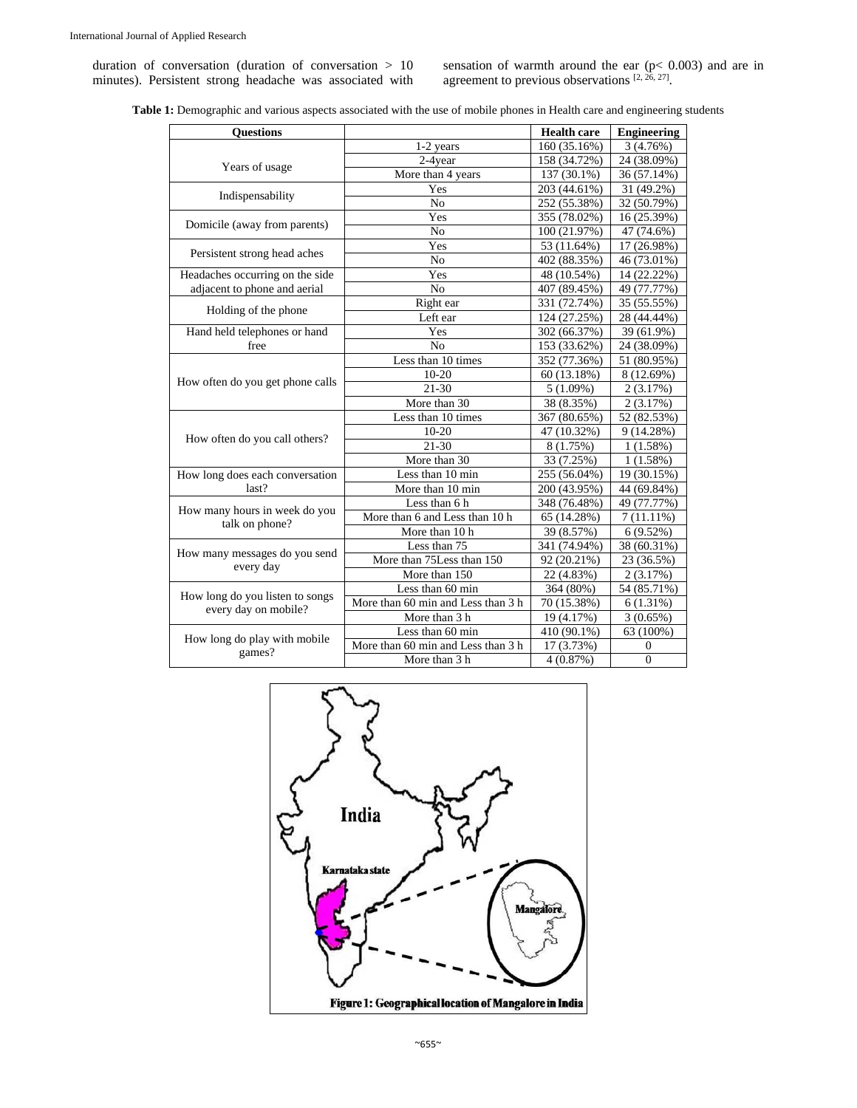duration of conversation (duration of conversation > 10 minutes). Persistent strong headache was associated with sensation of warmth around the ear  $(p< 0.003)$  and are in agreement to previous observations  $[2, 26, 27]$ .

|  |  |  | <b>Table 1:</b> Demographic and various aspects associated with the use of mobile phones in Health care and engineering students |
|--|--|--|----------------------------------------------------------------------------------------------------------------------------------|
|  |  |  |                                                                                                                                  |

| <b>Ouestions</b>                                        |                                    | <b>Health care</b>                                                                                                                                                                                                                                                                                                                                                                                                                                                                                                                         | <b>Engineering</b> |
|---------------------------------------------------------|------------------------------------|--------------------------------------------------------------------------------------------------------------------------------------------------------------------------------------------------------------------------------------------------------------------------------------------------------------------------------------------------------------------------------------------------------------------------------------------------------------------------------------------------------------------------------------------|--------------------|
|                                                         | 1-2 years                          | 160 (35.16%)                                                                                                                                                                                                                                                                                                                                                                                                                                                                                                                               | 3(4.76%)           |
| Years of usage                                          | 2-4year                            | 158 (34.72%)                                                                                                                                                                                                                                                                                                                                                                                                                                                                                                                               | 24 (38.09%)        |
|                                                         | More than 4 years                  | 137 (30.1%)<br>203 (44.61%)<br>252 (55.38%)<br>355 (78.02%)<br>100 (21.97%)<br>53 (11.64%)<br>402 (88.35%)<br>48 (10.54%)<br>407 (89.45%)<br>331 (72.74%)<br>124 (27.25%)<br>302 (66.37%)<br>153 (33.62%)<br>352 (77.36%)<br>60 (13.18%)<br>5(1.09%)<br>38 (8.35%)<br>367 (80.65%)<br>47 (10.32%)<br>8 (1.75%)<br>33 (7.25%)<br>255 (56.04%)<br>200 (43.95%)<br>348 (76.48%)<br>65 (14.28%)<br>39 (8.57%)<br>341 (74.94%)<br>92 (20.21%)<br>22 (4.83%)<br>364 (80%)<br>70 (15.38%)<br>19 (4.17%)<br>410 (90.1%)<br>$\overline{17}$ (3.73%) | 36 (57.14%)        |
|                                                         | Yes                                |                                                                                                                                                                                                                                                                                                                                                                                                                                                                                                                                            | 31 (49.2%)         |
| Indispensability                                        | N <sub>o</sub>                     |                                                                                                                                                                                                                                                                                                                                                                                                                                                                                                                                            | 32 (50.79%)        |
|                                                         | Yes                                |                                                                                                                                                                                                                                                                                                                                                                                                                                                                                                                                            | 16 (25.39%)        |
| Domicile (away from parents)                            | No                                 | Yes<br>N <sub>o</sub><br>Yes<br>N <sub>0</sub><br>Right ear<br>Left ear<br>Yes<br>$\rm No$<br>Less than 10 times<br>$10 - 20$<br>$21 - 30$<br>More than 30<br>Less than 10 times<br>$10 - 20$<br>$21 - 30$<br>More than 30<br>Less than 10 min<br>More than 10 min<br>Less than 6 h<br>More than 10 h<br>Less than 75<br>More than 75Less than 150<br>More than 150<br>Less than 60 min<br>More than 3 h<br>Less than 60 min                                                                                                               | 47 (74.6%)         |
|                                                         |                                    |                                                                                                                                                                                                                                                                                                                                                                                                                                                                                                                                            | 17 (26.98%)        |
| Persistent strong head aches                            |                                    |                                                                                                                                                                                                                                                                                                                                                                                                                                                                                                                                            | 46 (73.01%)        |
| Headaches occurring on the side                         |                                    |                                                                                                                                                                                                                                                                                                                                                                                                                                                                                                                                            | 14 (22.22%)        |
| adjacent to phone and aerial                            |                                    |                                                                                                                                                                                                                                                                                                                                                                                                                                                                                                                                            | 49 (77.77%)        |
|                                                         |                                    |                                                                                                                                                                                                                                                                                                                                                                                                                                                                                                                                            | 35 (55.55%)        |
| Holding of the phone                                    |                                    |                                                                                                                                                                                                                                                                                                                                                                                                                                                                                                                                            | 28 (44.44%)        |
| Hand held telephones or hand                            |                                    |                                                                                                                                                                                                                                                                                                                                                                                                                                                                                                                                            | 39 (61.9%)         |
| free                                                    |                                    |                                                                                                                                                                                                                                                                                                                                                                                                                                                                                                                                            | 24 (38.09%)        |
|                                                         |                                    |                                                                                                                                                                                                                                                                                                                                                                                                                                                                                                                                            | 51 (80.95%)        |
|                                                         |                                    |                                                                                                                                                                                                                                                                                                                                                                                                                                                                                                                                            | 8 (12.69%)         |
| How often do you get phone calls                        |                                    |                                                                                                                                                                                                                                                                                                                                                                                                                                                                                                                                            | 2(3.17%)           |
|                                                         |                                    |                                                                                                                                                                                                                                                                                                                                                                                                                                                                                                                                            | 2(3.17%)           |
|                                                         |                                    |                                                                                                                                                                                                                                                                                                                                                                                                                                                                                                                                            | 52 (82.53%)        |
|                                                         |                                    |                                                                                                                                                                                                                                                                                                                                                                                                                                                                                                                                            | 9(14.28%)          |
| How often do you call others?                           |                                    |                                                                                                                                                                                                                                                                                                                                                                                                                                                                                                                                            | 1(1.58%)           |
|                                                         |                                    |                                                                                                                                                                                                                                                                                                                                                                                                                                                                                                                                            | 1(1.58%)           |
| How long does each conversation                         |                                    |                                                                                                                                                                                                                                                                                                                                                                                                                                                                                                                                            | 19 (30.15%)        |
| last?                                                   |                                    |                                                                                                                                                                                                                                                                                                                                                                                                                                                                                                                                            | 44 (69.84%)        |
|                                                         |                                    |                                                                                                                                                                                                                                                                                                                                                                                                                                                                                                                                            | 49 (77.77%)        |
| How many hours in week do you                           | More than 6 and Less than 10 h     |                                                                                                                                                                                                                                                                                                                                                                                                                                                                                                                                            | $7(11.11\%)$       |
| talk on phone?                                          |                                    |                                                                                                                                                                                                                                                                                                                                                                                                                                                                                                                                            | 6(9.52%)           |
| How many messages do you send                           |                                    |                                                                                                                                                                                                                                                                                                                                                                                                                                                                                                                                            | 38 (60.31%)        |
| every day                                               |                                    |                                                                                                                                                                                                                                                                                                                                                                                                                                                                                                                                            | 23 (36.5%)         |
|                                                         |                                    |                                                                                                                                                                                                                                                                                                                                                                                                                                                                                                                                            | 2(3.17%)           |
|                                                         |                                    |                                                                                                                                                                                                                                                                                                                                                                                                                                                                                                                                            | 54 (85.71%)        |
| How long do you listen to songs<br>every day on mobile? | More than 60 min and Less than 3 h |                                                                                                                                                                                                                                                                                                                                                                                                                                                                                                                                            | 6(1.31%)           |
|                                                         |                                    |                                                                                                                                                                                                                                                                                                                                                                                                                                                                                                                                            | 3(0.65%)           |
|                                                         |                                    |                                                                                                                                                                                                                                                                                                                                                                                                                                                                                                                                            | 63 (100%)          |
| How long do play with mobile                            | More than 60 min and Less than 3 h |                                                                                                                                                                                                                                                                                                                                                                                                                                                                                                                                            | $\mathbf{0}$       |
| games?                                                  | More than 3 h                      | 4(0.87%)                                                                                                                                                                                                                                                                                                                                                                                                                                                                                                                                   | $\mathbf{0}$       |

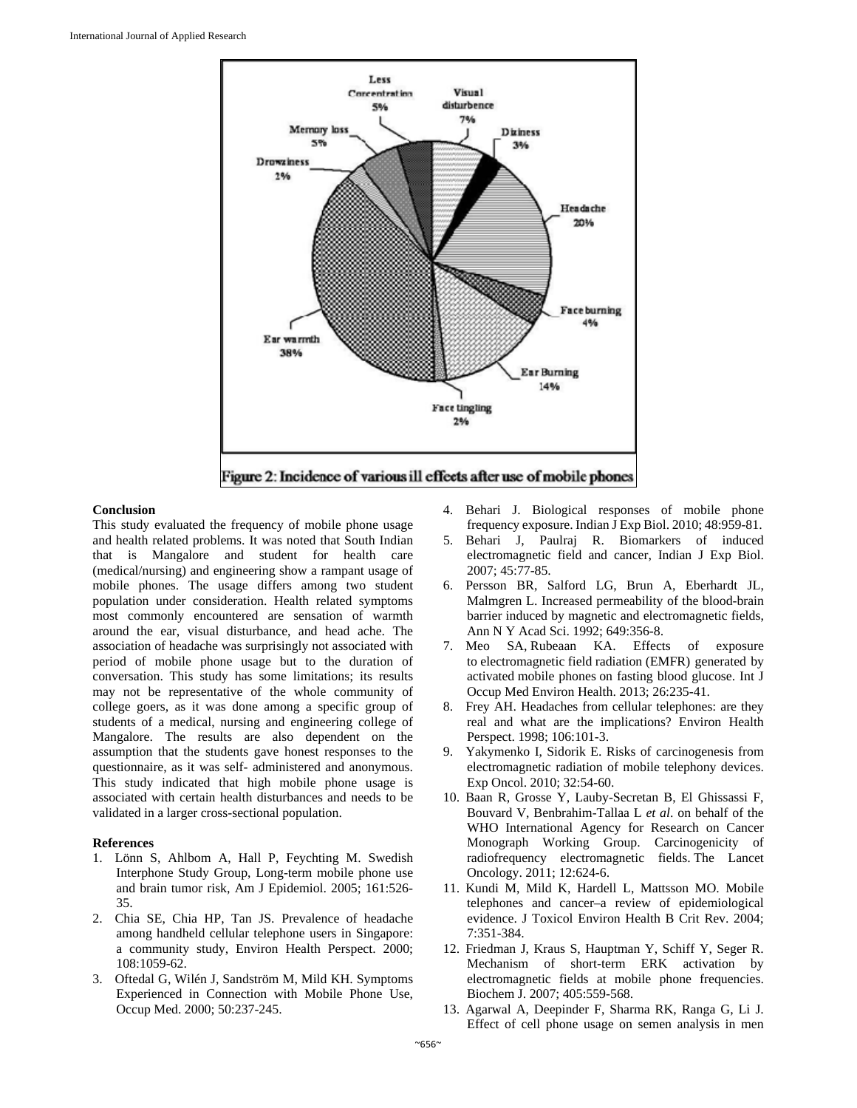

#### **Conclusion**

This study evaluated the frequency of mobile phone usage and health related problems. It was noted that South Indian that is Mangalore and student for health care (medical/nursing) and engineering show a rampant usage of mobile phones. The usage differs among two student population under consideration. Health related symptoms most commonly encountered are sensation of warmth around the ear, visual disturbance, and head ache. The association of headache was surprisingly not associated with period of mobile phone usage but to the duration of conversation. This study has some limitations; its results may not be representative of the whole community of college goers, as it was done among a specific group of students of a medical, nursing and engineering college of Mangalore. The results are also dependent on the assumption that the students gave honest responses to the questionnaire, as it was self- administered and anonymous. This study indicated that high mobile phone usage is associated with certain health disturbances and needs to be validated in a larger cross-sectional population.

#### **References**

- 1. Lönn S, Ahlbom A, Hall P, Feychting M. Swedish Interphone Study Group, Long-term mobile phone use and brain tumor risk, Am J Epidemiol. 2005; 161:526- 35.
- 2. Chia SE, Chia HP, Tan JS. Prevalence of headache among handheld cellular telephone users in Singapore: a community study, Environ Health Perspect. 2000; 108:1059-62.
- 3. Oftedal G, Wilén J, Sandström M, Mild KH. Symptoms Experienced in Connection with Mobile Phone Use, Occup Med. 2000; 50:237-245.
- 4. Behari J. Biological responses of mobile phone frequency exposure. Indian J Exp Biol. 2010; 48:959-81.
- 5. Behari J, Paulraj R. Biomarkers of induced electromagnetic field and cancer, Indian J Exp Biol. 2007; 45:77-85.
- 6. Persson BR, Salford LG, Brun A, Eberhardt JL, Malmgren L. Increased permeability of the blood-brain barrier induced by magnetic and electromagnetic fields, Ann N Y Acad Sci. 1992; 649:356-8.
- 7. Meo SA, Rubeaan KA. Effects of exposure to electromagnetic field radiation (EMFR) generated by activated mobile phones on fasting blood glucose. Int J Occup Med Environ Health. 2013; 26:235-41.
- 8. Frey AH. Headaches from cellular telephones: are they real and what are the implications? Environ Health Perspect. 1998; 106:101-3.
- 9. Yakymenko I, Sidorik E. Risks of carcinogenesis from electromagnetic radiation of mobile telephony devices. Exp Oncol. 2010; 32:54-60.
- 10. Baan R, Grosse Y, Lauby-Secretan B, El Ghissassi F, Bouvard V, Benbrahim-Tallaa L *et al*. on behalf of the WHO International Agency for Research on Cancer Monograph Working Group. Carcinogenicity of radiofrequency electromagnetic fields. The Lancet Oncology. 2011; 12:624-6.
- 11. Kundi M, Mild K, Hardell L, Mattsson MO. Mobile telephones and cancer–a review of epidemiological evidence. J Toxicol Environ Health B Crit Rev. 2004; 7:351-384.
- 12. Friedman J, Kraus S, Hauptman Y, Schiff Y, Seger R. Mechanism of short-term ERK activation by electromagnetic fields at mobile phone frequencies. Biochem J. 2007; 405:559-568.
- 13. Agarwal A, Deepinder F, Sharma RK, Ranga G, Li J. Effect of cell phone usage on semen analysis in men